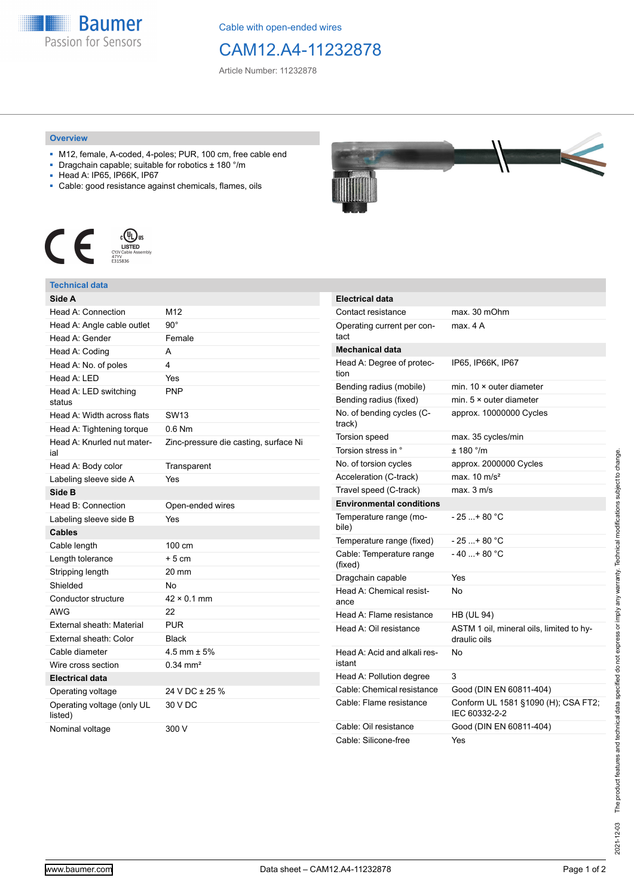

Cable with open-ended wires

# CAM12.A4-11232878

Article Number: 11232878

#### **Overview**

- M12, female, A-coded, 4-poles; PUR, 100 cm, free cable end
- Dragchain capable; suitable for robotics ± 180 °/m
- Head A: IP65, IP66K, IP67
- Cable: good resistance against chemicals, flames, oils



### **Technical data**

| Side A                                |                                       |
|---------------------------------------|---------------------------------------|
| Head A: Connection                    | M12                                   |
| Head A: Angle cable outlet            | $90^{\circ}$                          |
| Head A: Gender                        | Female                                |
| Head A: Coding                        | A                                     |
| Head A: No. of poles                  | 4                                     |
| Head A: LED                           | Yes                                   |
| Head A: LED switching<br>status       | PNP                                   |
| Head A: Width across flats            | <b>SW13</b>                           |
| Head A: Tightening torque             | $0.6$ Nm                              |
| Head A: Knurled nut mater-<br>ial     | Zinc-pressure die casting, surface Ni |
| Head A: Body color                    | Transparent                           |
| Labeling sleeve side A                | Yes                                   |
| Side B                                |                                       |
| Head B: Connection                    | Open-ended wires                      |
| Labeling sleeve side B                | Yes                                   |
| <b>Cables</b>                         |                                       |
| Cable length                          | 100 cm                                |
| Length tolerance                      | $+5cm$                                |
| Stripping length                      | 20 mm                                 |
| Shielded                              | No                                    |
| Conductor structure                   | $42 \times 0.1$ mm                    |
| <b>AWG</b>                            | 22                                    |
| External sheath: Material             | <b>PUR</b>                            |
| External sheath: Color                | <b>Black</b>                          |
| Cable diameter                        | 4.5 mm $\pm$ 5%                       |
| Wire cross section                    | $0.34$ mm <sup>2</sup>                |
| <b>Electrical data</b>                |                                       |
| Operating voltage                     | 24 V DC ± 25 %                        |
| Operating voltage (only UL<br>listed) | 30 V DC                               |
| Nominal voltage                       | 300 V                                 |



| <b>Electrical data</b>                 |                                                          |
|----------------------------------------|----------------------------------------------------------|
| Contact resistance                     | max. 30 mOhm                                             |
| Operating current per con-<br>tact     | max. 4 A                                                 |
| <b>Mechanical data</b>                 |                                                          |
| Head A: Degree of protec-<br>tion      | IP65, IP66K, IP67                                        |
| Bending radius (mobile)                | min. $10 \times$ outer diameter                          |
| Bending radius (fixed)                 | min. $5 \times$ outer diameter                           |
| No. of bending cycles (C-<br>track)    | approx. 10000000 Cycles                                  |
| Torsion speed                          | max. 35 cycles/min                                       |
| Torsion stress in °                    | ± 180 °/m                                                |
| No. of torsion cycles                  | approx. 2000000 Cycles                                   |
| Acceleration (C-track)                 | max. $10 \text{ m/s}^2$                                  |
| Travel speed (C-track)                 | max. 3 m/s                                               |
| <b>Environmental conditions</b>        |                                                          |
| Temperature range (mo-<br>bile)        | $-25$ + 80 °C                                            |
| Temperature range (fixed)              | $-25+80 °C$                                              |
| Cable: Temperature range<br>(fixed)    | $-40+80 °C$                                              |
| Dragchain capable                      | Yes                                                      |
| Head A: Chemical resist-<br>ance       | No                                                       |
| Head A: Flame resistance               | <b>HB (UL 94)</b>                                        |
| Head A: Oil resistance                 | ASTM 1 oil, mineral oils, limited to hy-<br>draulic oils |
| Head A: Acid and alkali res-<br>istant | N٥                                                       |
| Head A: Pollution degree               | 3                                                        |
| Cable: Chemical resistance             | Good (DIN EN 60811-404)                                  |
| Cable: Flame resistance                | Conform UL 1581 §1090 (H); CSA FT2;<br>IEC 60332-2-2     |
| Cable: Oil resistance                  | Good (DIN EN 60811-404)                                  |
| Cable: Silicone-free                   | Yes                                                      |